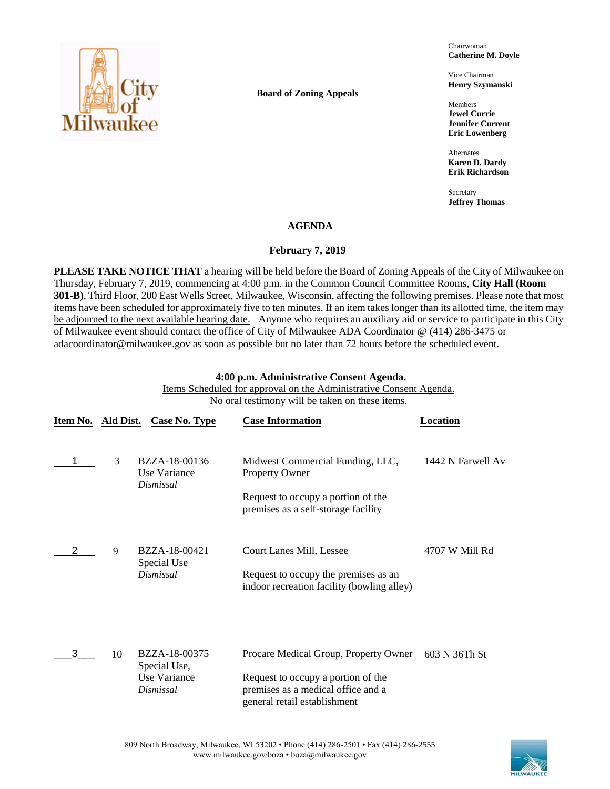

**Board of Zoning Appeals**

Chairwoman **Catherine M. Doyle**

Vice Chairman **Henry Szymanski**

Members **Jewel Currie Jennifer Current Eric Lowenberg**

Alternates **Karen D. Dardy Erik Richardson**

Secretary **Jeffrey Thomas**

## **AGENDA**

### **February 7, 2019**

**PLEASE TAKE NOTICE THAT** a hearing will be held before the Board of Zoning Appeals of the City of Milwaukee on Thursday, February 7, 2019, commencing at 4:00 p.m. in the Common Council Committee Rooms, **City Hall (Room 301-B)**, Third Floor, 200 East Wells Street, Milwaukee, Wisconsin, affecting the following premises. Please note that most items have been scheduled for approximately five to ten minutes. If an item takes longer than its allotted time, the item may be adjourned to the next available hearing date. Anyone who requires an auxiliary aid or service to participate in this City of Milwaukee event should contact the office of City of Milwaukee ADA Coordinator @ (414) 286-3475 or adacoordinator@milwaukee.gov as soon as possible but no later than 72 hours before the scheduled event.

#### **4:00 p.m. Administrative Consent Agenda.**

Items Scheduled for approval on the Administrative Consent Agenda. No oral testimony will be taken on these items.

|   |    | Item No. Ald Dist. Case No. Type                           | <b>Case Information</b>                                                                                                                           | Location          |
|---|----|------------------------------------------------------------|---------------------------------------------------------------------------------------------------------------------------------------------------|-------------------|
|   | 3  | BZZA-18-00136<br>Use Variance<br>Dismissal                 | Midwest Commercial Funding, LLC,<br>Property Owner<br>Request to occupy a portion of the<br>premises as a self-storage facility                   | 1442 N Farwell Av |
|   | 9  | BZZA-18-00421<br>Special Use<br>Dismissal                  | Court Lanes Mill, Lessee<br>Request to occupy the premises as an<br>indoor recreation facility (bowling alley)                                    | 4707 W Mill Rd    |
| 3 | 10 | BZZA-18-00375<br>Special Use,<br>Use Variance<br>Dismissal | Procare Medical Group, Property Owner<br>Request to occupy a portion of the<br>premises as a medical office and a<br>general retail establishment | 603 N 36Th St     |

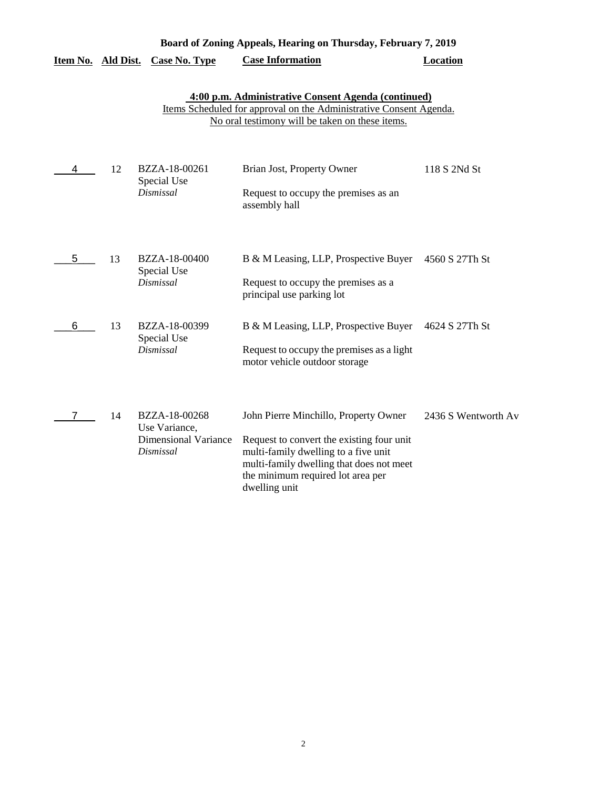|                    |    |                                                                            | Board of Zoning Appeals, Hearing on Thursday, February 7, 2019                                                                                                                                                               |                     |
|--------------------|----|----------------------------------------------------------------------------|------------------------------------------------------------------------------------------------------------------------------------------------------------------------------------------------------------------------------|---------------------|
| Item No. Ald Dist. |    | <b>Case No. Type</b>                                                       | <b>Case Information</b>                                                                                                                                                                                                      | <b>Location</b>     |
|                    |    |                                                                            | 4:00 p.m. Administrative Consent Agenda (continued)<br>Items Scheduled for approval on the Administrative Consent Agenda.<br>No oral testimony will be taken on these items.                                                 |                     |
| 4                  | 12 | BZZA-18-00261<br>Special Use<br>Dismissal                                  | Brian Jost, Property Owner<br>Request to occupy the premises as an<br>assembly hall                                                                                                                                          | 118 S 2Nd St        |
| 5.                 | 13 | BZZA-18-00400<br>Special Use<br>Dismissal                                  | B & M Leasing, LLP, Prospective Buyer<br>Request to occupy the premises as a<br>principal use parking lot                                                                                                                    | 4560 S 27Th St      |
| 6                  | 13 | BZZA-18-00399<br>Special Use<br>Dismissal                                  | B & M Leasing, LLP, Prospective Buyer<br>Request to occupy the premises as a light<br>motor vehicle outdoor storage                                                                                                          | 4624 S 27Th St      |
| 7                  | 14 | BZZA-18-00268<br>Use Variance,<br><b>Dimensional Variance</b><br>Dismissal | John Pierre Minchillo, Property Owner<br>Request to convert the existing four unit<br>multi-family dwelling to a five unit<br>multi-family dwelling that does not meet<br>the minimum required lot area per<br>dwelling unit | 2436 S Wentworth Av |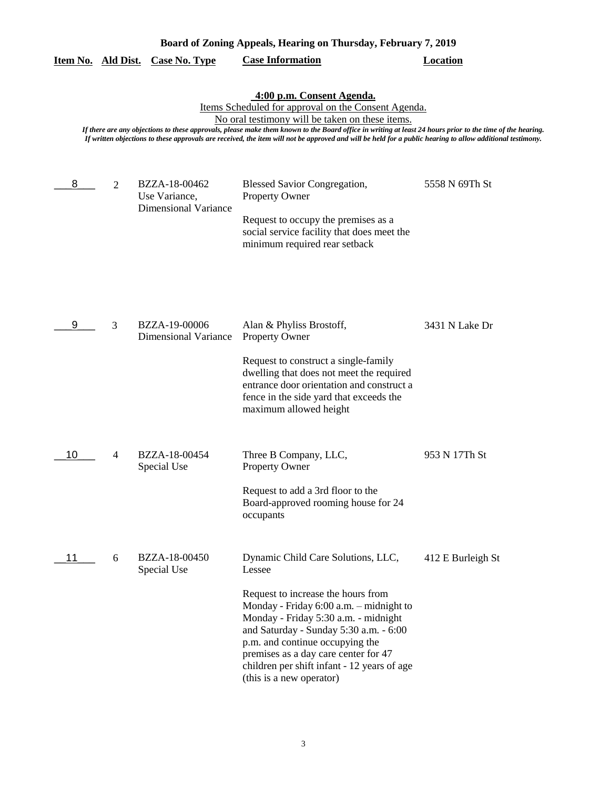| Board of Zoning Appeals, Hearing on Thursday, February 7, 2019 |                |                                                               |                                                                                                                                                                                                                                                                                                                                                                                                                                                               |                   |
|----------------------------------------------------------------|----------------|---------------------------------------------------------------|---------------------------------------------------------------------------------------------------------------------------------------------------------------------------------------------------------------------------------------------------------------------------------------------------------------------------------------------------------------------------------------------------------------------------------------------------------------|-------------------|
| <u>Item No. Ald Dist.</u>                                      |                | <b>Case No. Type</b>                                          | <b>Case Information</b>                                                                                                                                                                                                                                                                                                                                                                                                                                       | <b>Location</b>   |
|                                                                |                |                                                               | 4:00 p.m. Consent Agenda.<br>Items Scheduled for approval on the Consent Agenda.<br>No oral testimony will be taken on these items.<br>If there are any objections to these approvals, please make them known to the Board office in writing at least 24 hours prior to the time of the hearing.<br>If written objections to these approvals are received, the item will not be approved and will be held for a public hearing to allow additional testimony. |                   |
| 8                                                              | $\overline{2}$ | BZZA-18-00462<br>Use Variance,<br><b>Dimensional Variance</b> | <b>Blessed Savior Congregation,</b><br>Property Owner<br>Request to occupy the premises as a<br>social service facility that does meet the<br>minimum required rear setback                                                                                                                                                                                                                                                                                   | 5558 N 69Th St    |
| 9                                                              | 3              | BZZA-19-00006<br><b>Dimensional Variance</b>                  | Alan & Phyliss Brostoff,<br><b>Property Owner</b><br>Request to construct a single-family<br>dwelling that does not meet the required<br>entrance door orientation and construct a<br>fence in the side yard that exceeds the<br>maximum allowed height                                                                                                                                                                                                       | 3431 N Lake Dr    |
| 10                                                             | 4              | BZZA-18-00454<br>Special Use                                  | Three B Company, LLC,<br>Property Owner<br>Request to add a 3rd floor to the<br>Board-approved rooming house for 24<br>occupants                                                                                                                                                                                                                                                                                                                              | 953 N 17Th St     |
| 11                                                             | 6              | BZZA-18-00450<br>Special Use                                  | Dynamic Child Care Solutions, LLC,<br>Lessee<br>Request to increase the hours from<br>Monday - Friday 6:00 a.m. - midnight to<br>Monday - Friday 5:30 a.m. - midnight<br>and Saturday - Sunday 5:30 a.m. - 6:00<br>p.m. and continue occupying the<br>premises as a day care center for 47<br>children per shift infant - 12 years of age<br>(this is a new operator)                                                                                         | 412 E Burleigh St |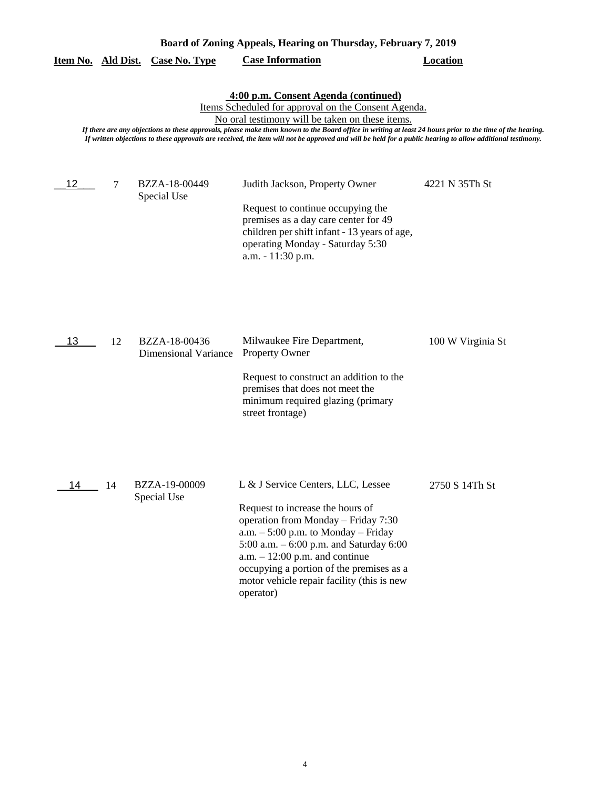| Board of Zoning Appeals, Hearing on Thursday, February 7, 2019 |    |                                              |                                                                                                                                                                                                                                                                                                                                                                                                                                                                          |                   |  |
|----------------------------------------------------------------|----|----------------------------------------------|--------------------------------------------------------------------------------------------------------------------------------------------------------------------------------------------------------------------------------------------------------------------------------------------------------------------------------------------------------------------------------------------------------------------------------------------------------------------------|-------------------|--|
| Item No. Ald Dist.                                             |    | <b>Case No. Type</b>                         | <b>Case Information</b>                                                                                                                                                                                                                                                                                                                                                                                                                                                  | <b>Location</b>   |  |
|                                                                |    |                                              | 4:00 p.m. Consent Agenda (continued)<br>Items Scheduled for approval on the Consent Agenda.<br>No oral testimony will be taken on these items.<br>If there are any objections to these approvals, please make them known to the Board office in writing at least 24 hours prior to the time of the hearing.<br>If written objections to these approvals are received, the item will not be approved and will be held for a public hearing to allow additional testimony. |                   |  |
| 12                                                             | 7  | BZZA-18-00449<br>Special Use                 | Judith Jackson, Property Owner<br>Request to continue occupying the<br>premises as a day care center for 49<br>children per shift infant - 13 years of age,<br>operating Monday - Saturday 5:30<br>a.m. - 11:30 p.m.                                                                                                                                                                                                                                                     | 4221 N 35Th St    |  |
| 13                                                             | 12 | BZZA-18-00436<br><b>Dimensional Variance</b> | Milwaukee Fire Department,<br>Property Owner<br>Request to construct an addition to the<br>premises that does not meet the<br>minimum required glazing (primary<br>street frontage)                                                                                                                                                                                                                                                                                      | 100 W Virginia St |  |
| 14                                                             | 14 | BZZA-19-00009<br>Special Use                 | L & J Service Centers, LLC, Lessee<br>Request to increase the hours of<br>operation from Monday - Friday 7:30<br>$a.m. - 5:00$ p.m. to Monday – Friday<br>5:00 a.m. - 6:00 p.m. and Saturday 6:00<br>$a.m. - 12:00$ p.m. and continue<br>occupying a portion of the premises as a<br>motor vehicle repair facility (this is new<br>operator)                                                                                                                             | 2750 S 14Th St    |  |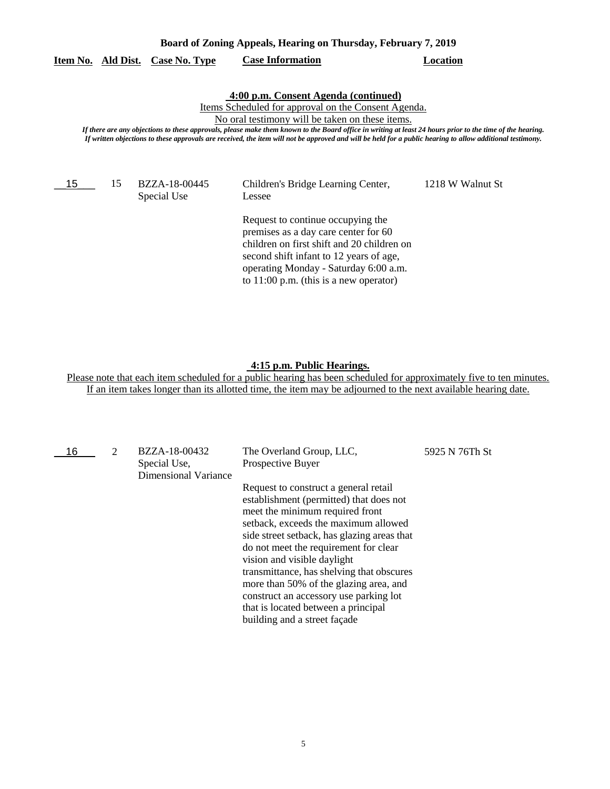| Board of Zoning Appeals, Hearing on Thursday, February 7, 2019 |           |                              |                                                                                                                                                                                                                                                                                                                                                                                                                                                                          |                  |  |
|----------------------------------------------------------------|-----------|------------------------------|--------------------------------------------------------------------------------------------------------------------------------------------------------------------------------------------------------------------------------------------------------------------------------------------------------------------------------------------------------------------------------------------------------------------------------------------------------------------------|------------------|--|
| Item No.                                                       | Ald Dist. | Case No. Type                | <b>Case Information</b>                                                                                                                                                                                                                                                                                                                                                                                                                                                  | Location         |  |
|                                                                |           |                              | 4:00 p.m. Consent Agenda (continued)<br>Items Scheduled for approval on the Consent Agenda.<br>No oral testimony will be taken on these items.<br>If there are any objections to these approvals, please make them known to the Board office in writing at least 24 hours prior to the time of the hearing.<br>If written objections to these approvals are received, the item will not be approved and will be held for a public hearing to allow additional testimony. |                  |  |
| 15                                                             | 15        | BZZA-18-00445<br>Special Use | Children's Bridge Learning Center,<br>Lessee                                                                                                                                                                                                                                                                                                                                                                                                                             | 1218 W Walnut St |  |
|                                                                |           |                              | Request to continue occupying the<br>premises as a day care center for 60<br>children on first shift and 20 children on<br>second shift infant to 12 years of age,                                                                                                                                                                                                                                                                                                       |                  |  |

## **4:15 p.m. Public Hearings.**

operating Monday - Saturday 6:00 a.m. to 11:00 p.m. (this is a new operator)

Please note that each item scheduled for a public hearing has been scheduled for approximately five to ten minutes. If an item takes longer than its allotted time, the item may be adjourned to the next available hearing date.

| 16 | $\mathcal{D}$ | BZZA-18-00432<br>Special Use,<br>Dimensional Variance | The Overland Group, LLC,<br>Prospective Buyer                                                                                                                                                                                                                                                                                                                                                                                                                                              | 5925 N 76Th St |
|----|---------------|-------------------------------------------------------|--------------------------------------------------------------------------------------------------------------------------------------------------------------------------------------------------------------------------------------------------------------------------------------------------------------------------------------------------------------------------------------------------------------------------------------------------------------------------------------------|----------------|
|    |               |                                                       | Request to construct a general retail<br>establishment (permitted) that does not<br>meet the minimum required front<br>setback, exceeds the maximum allowed<br>side street setback, has glazing areas that<br>do not meet the requirement for clear<br>vision and visible daylight<br>transmittance, has shelving that obscures<br>more than 50% of the glazing area, and<br>construct an accessory use parking lot<br>that is located between a principal<br>building and a street façade |                |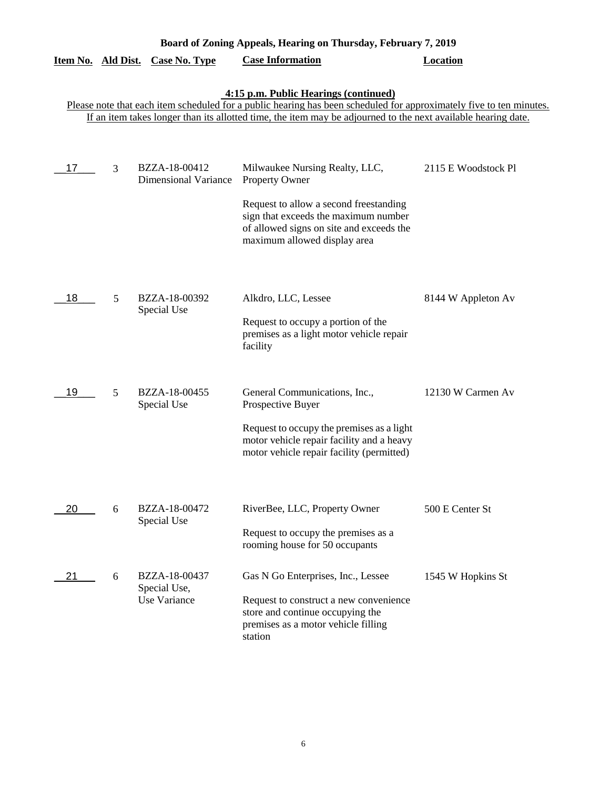|    | Board of Zoning Appeals, Hearing on Thursday, February 7, 2019 |                                              |                                                                                                                                                              |                     |  |  |
|----|----------------------------------------------------------------|----------------------------------------------|--------------------------------------------------------------------------------------------------------------------------------------------------------------|---------------------|--|--|
|    |                                                                | <u>Item No. Ald Dist. Case No. Type</u>      | <b>Case Information</b>                                                                                                                                      | <b>Location</b>     |  |  |
|    |                                                                |                                              | 4:15 p.m. Public Hearings (continued)<br>Please note that each item scheduled for a public hearing has been scheduled for approximately five to ten minutes. |                     |  |  |
|    |                                                                |                                              | If an item takes longer than its allotted time, the item may be adjourned to the next available hearing date.                                                |                     |  |  |
|    |                                                                |                                              |                                                                                                                                                              |                     |  |  |
| 17 | 3                                                              | BZZA-18-00412<br><b>Dimensional Variance</b> | Milwaukee Nursing Realty, LLC,<br>Property Owner                                                                                                             | 2115 E Woodstock Pl |  |  |
|    |                                                                |                                              | Request to allow a second freestanding<br>sign that exceeds the maximum number<br>of allowed signs on site and exceeds the<br>maximum allowed display area   |                     |  |  |
| 18 | 5                                                              | BZZA-18-00392<br>Special Use                 | Alkdro, LLC, Lessee                                                                                                                                          | 8144 W Appleton Av  |  |  |
|    |                                                                |                                              | Request to occupy a portion of the<br>premises as a light motor vehicle repair<br>facility                                                                   |                     |  |  |
| 19 | 5                                                              | BZZA-18-00455<br>Special Use                 | General Communications, Inc.,<br>Prospective Buyer                                                                                                           | 12130 W Carmen Av   |  |  |
|    |                                                                |                                              | Request to occupy the premises as a light<br>motor vehicle repair facility and a heavy<br>motor vehicle repair facility (permitted)                          |                     |  |  |
|    |                                                                |                                              |                                                                                                                                                              |                     |  |  |
| 20 | 6                                                              | BZZA-18-00472<br>Special Use                 | RiverBee, LLC, Property Owner                                                                                                                                | 500 E Center St     |  |  |
|    |                                                                |                                              | Request to occupy the premises as a<br>rooming house for 50 occupants                                                                                        |                     |  |  |
| 21 | 6                                                              | BZZA-18-00437<br>Special Use,                | Gas N Go Enterprises, Inc., Lessee                                                                                                                           | 1545 W Hopkins St   |  |  |
|    |                                                                | Use Variance                                 | Request to construct a new convenience<br>store and continue occupying the<br>premises as a motor vehicle filling<br>station                                 |                     |  |  |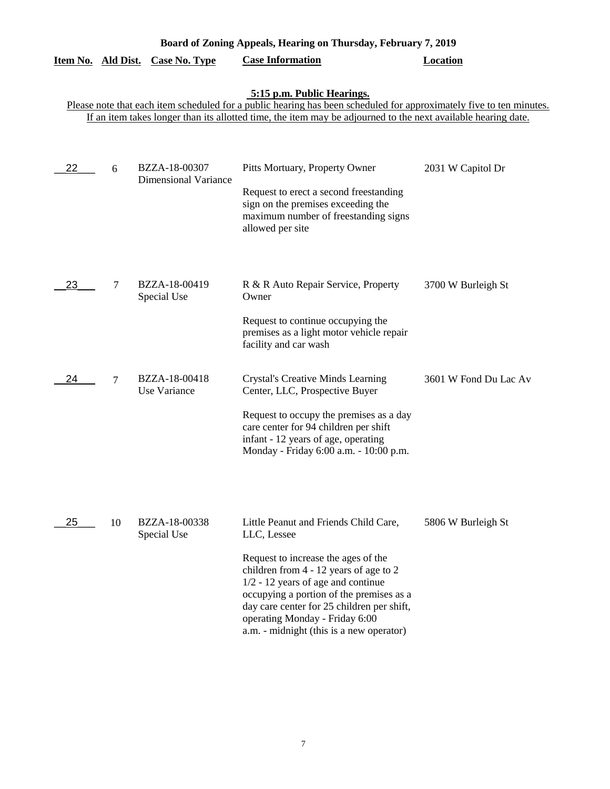| Board of Zoning Appeals, Hearing on Thursday, February 7, 2019 |    |                                              |                                                                                                                                                                                                                                                                                                                                                       |                       |  |
|----------------------------------------------------------------|----|----------------------------------------------|-------------------------------------------------------------------------------------------------------------------------------------------------------------------------------------------------------------------------------------------------------------------------------------------------------------------------------------------------------|-----------------------|--|
| Item No. Ald Dist.                                             |    | <b>Case No. Type</b>                         | <b>Case Information</b>                                                                                                                                                                                                                                                                                                                               | <b>Location</b>       |  |
|                                                                |    |                                              | 5:15 p.m. Public Hearings.<br>Please note that each item scheduled for a public hearing has been scheduled for approximately five to ten minutes.<br>If an item takes longer than its allotted time, the item may be adjourned to the next available hearing date.                                                                                    |                       |  |
| 22                                                             | 6  | BZZA-18-00307<br><b>Dimensional Variance</b> | Pitts Mortuary, Property Owner<br>Request to erect a second freestanding<br>sign on the premises exceeding the<br>maximum number of freestanding signs<br>allowed per site                                                                                                                                                                            | 2031 W Capitol Dr     |  |
| 23                                                             | 7  | BZZA-18-00419<br>Special Use                 | R & R Auto Repair Service, Property<br>Owner<br>Request to continue occupying the<br>premises as a light motor vehicle repair<br>facility and car wash                                                                                                                                                                                                | 3700 W Burleigh St    |  |
| 24                                                             | 7  | BZZA-18-00418<br>Use Variance                | <b>Crystal's Creative Minds Learning</b><br>Center, LLC, Prospective Buyer<br>Request to occupy the premises as a day<br>care center for 94 children per shift<br>infant - 12 years of age, operating<br>Monday - Friday 6:00 a.m. - 10:00 p.m.                                                                                                       | 3601 W Fond Du Lac Av |  |
| 25                                                             | 10 | BZZA-18-00338<br>Special Use                 | Little Peanut and Friends Child Care,<br>LLC, Lessee<br>Request to increase the ages of the<br>children from 4 - 12 years of age to 2<br>$1/2 - 12$ years of age and continue<br>occupying a portion of the premises as a<br>day care center for 25 children per shift,<br>operating Monday - Friday 6:00<br>a.m. - midnight (this is a new operator) | 5806 W Burleigh St    |  |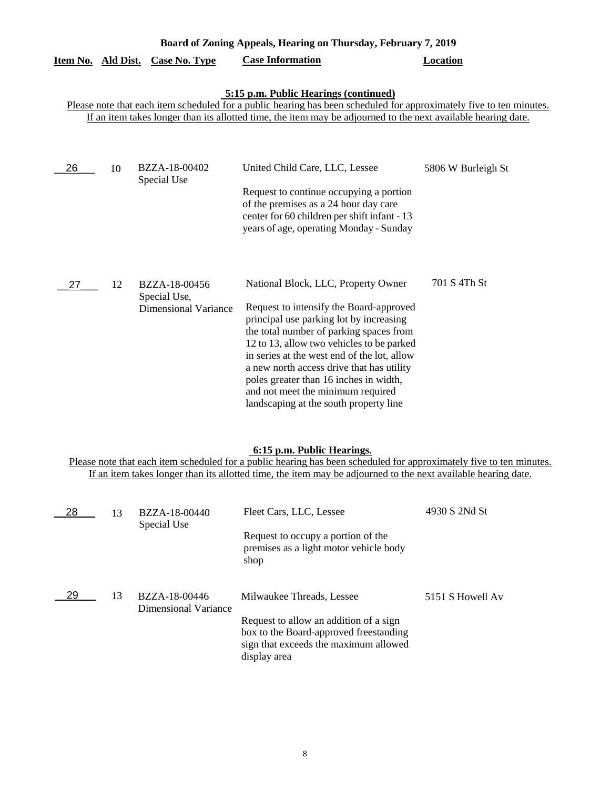| Board of Zoning Appeals, Hearing on Thursday, February 7, 2019 |    |                                                              |                                                                                                                                                                                                                                                                                                                                                                                                                                        |                    |  |
|----------------------------------------------------------------|----|--------------------------------------------------------------|----------------------------------------------------------------------------------------------------------------------------------------------------------------------------------------------------------------------------------------------------------------------------------------------------------------------------------------------------------------------------------------------------------------------------------------|--------------------|--|
| Item No. Ald Dist.                                             |    | <b>Case No. Type</b>                                         | <b>Case Information</b>                                                                                                                                                                                                                                                                                                                                                                                                                | <b>Location</b>    |  |
|                                                                |    |                                                              | <b>5:15 p.m. Public Hearings (continued)</b><br>Please note that each item scheduled for a public hearing has been scheduled for approximately five to ten minutes.<br>If an item takes longer than its allotted time, the item may be adjourned to the next available hearing date.                                                                                                                                                   |                    |  |
| 26                                                             | 10 | BZZA-18-00402<br>Special Use                                 | United Child Care, LLC, Lessee<br>Request to continue occupying a portion<br>of the premises as a 24 hour day care<br>center for 60 children per shift infant - 13<br>years of age, operating Monday - Sunday                                                                                                                                                                                                                          | 5806 W Burleigh St |  |
| 27                                                             | 12 | BZZA-18-00456<br>Special Use,<br><b>Dimensional Variance</b> | National Block, LLC, Property Owner<br>Request to intensify the Board-approved<br>principal use parking lot by increasing<br>the total number of parking spaces from<br>12 to 13, allow two vehicles to be parked<br>in series at the west end of the lot, allow<br>a new north access drive that has utility<br>poles greater than 16 inches in width,<br>and not meet the minimum required<br>landscaping at the south property line | 701 S 4Th St       |  |

# **6:15 p.m. Public Hearings.**

Please note that each item scheduled for a public hearing has been scheduled for approximately five to ten minutes. If an item takes longer than its allotted time, the item may be adjourned to the next available hearing date.

| 28 | 13 | BZZA-18-00440<br>Special Use          | Fleet Cars, LLC, Lessee<br>Request to occupy a portion of the<br>premises as a light motor vehicle body<br>shop                                                        | 4930 S 2Nd St    |
|----|----|---------------------------------------|------------------------------------------------------------------------------------------------------------------------------------------------------------------------|------------------|
| 29 | 13 | BZZA-18-00446<br>Dimensional Variance | Milwaukee Threads, Lessee<br>Request to allow an addition of a sign<br>box to the Board-approved freestanding<br>sign that exceeds the maximum allowed<br>display area | 5151 S Howell Av |